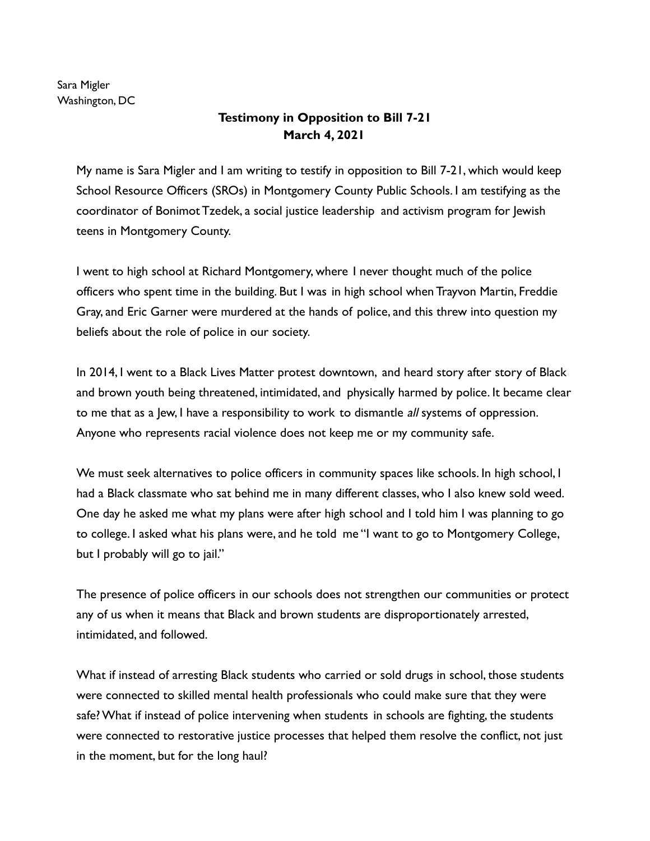Sara Migler Washington, DC

## **Testimony in Opposition to Bill 7-21 March 4, 2021**

My name is Sara Migler and I am writing to testify in opposition to Bill 7-21, which would keep School Resource Officers (SROs) in Montgomery County Public Schools. I am testifying as the coordinator of Bonimot Tzedek, a social justice leadership and activism program for Jewish teens in Montgomery County.

I went to high school at Richard Montgomery, where I never thought much of the police officers who spent time in the building. But I was in high school when Trayvon Martin, Freddie Gray, and Eric Garner were murdered at the hands of police, and this threw into question my beliefs about the role of police in our society.

In 2014, I went to a Black Lives Matter protest downtown, and heard story after story of Black and brown youth being threatened, intimidated, and physically harmed by police. It became clear to me that as a Jew, I have a responsibility to work to dismantle all systems of oppression. Anyone who represents racial violence does not keep me or my community safe.

We must seek alternatives to police officers in community spaces like schools. In high school, I had a Black classmate who sat behind me in many different classes, who I also knew sold weed. One day he asked me what my plans were after high school and I told him I was planning to go to college. I asked what his plans were, and he told me "I want to go to Montgomery College, but I probably will go to jail."

The presence of police officers in our schools does not strengthen our communities or protect any of us when it means that Black and brown students are disproportionately arrested, intimidated, and followed.

What if instead of arresting Black students who carried or sold drugs in school, those students were connected to skilled mental health professionals who could make sure that they were safe? What if instead of police intervening when students in schools are fighting, the students were connected to restorative justice processes that helped them resolve the conflict, not just in the moment, but for the long haul?